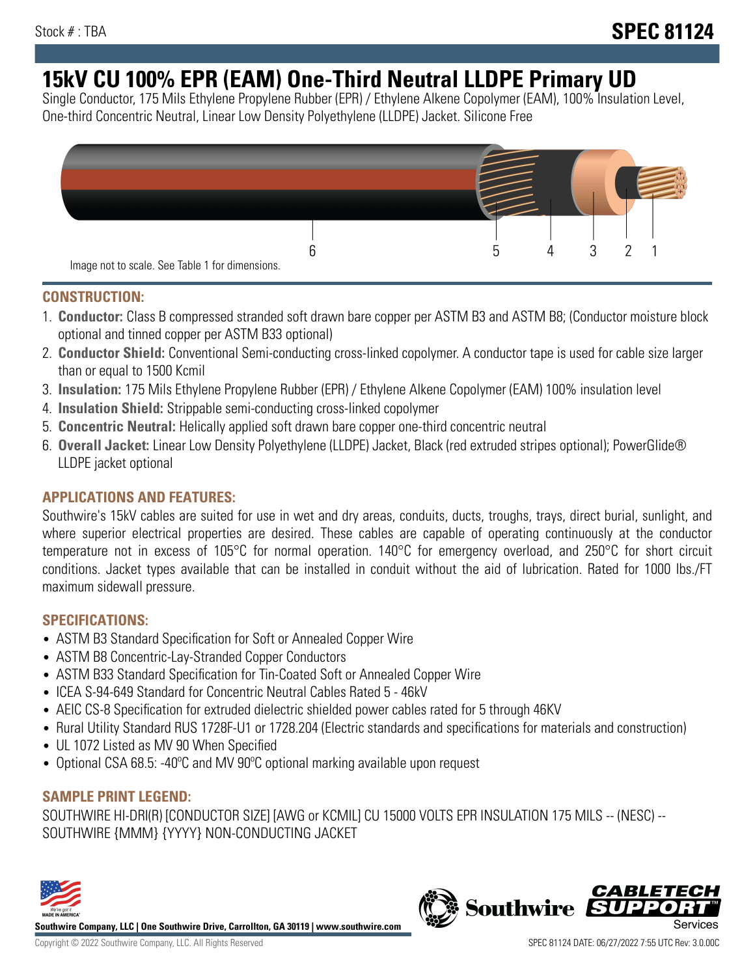# **15kV CU 100% EPR (EAM) One-Third Neutral LLDPE Primary UD**

Single Conductor, 175 Mils Ethylene Propylene Rubber (EPR) / Ethylene Alkene Copolymer (EAM), 100% Insulation Level, One-third Concentric Neutral, Linear Low Density Polyethylene (LLDPE) Jacket. Silicone Free



## **CONSTRUCTION:**

- 1. **Conductor:** Class B compressed stranded soft drawn bare copper per ASTM B3 and ASTM B8; (Conductor moisture block optional and tinned copper per ASTM B33 optional)
- 2. **Conductor Shield:** Conventional Semi-conducting cross-linked copolymer. A conductor tape is used for cable size larger than or equal to 1500 Kcmil
- 3. **Insulation:** 175 Mils Ethylene Propylene Rubber (EPR) / Ethylene Alkene Copolymer (EAM) 100% insulation level
- 4. **Insulation Shield:** Strippable semi-conducting cross-linked copolymer
- 5. **Concentric Neutral:** Helically applied soft drawn bare copper one-third concentric neutral
- 6. **Overall Jacket:** Linear Low Density Polyethylene (LLDPE) Jacket, Black (red extruded stripes optional); PowerGlide® LLDPE jacket optional

# **APPLICATIONS AND FEATURES:**

Southwire's 15kV cables are suited for use in wet and dry areas, conduits, ducts, troughs, trays, direct burial, sunlight, and where superior electrical properties are desired. These cables are capable of operating continuously at the conductor temperature not in excess of 105°C for normal operation. 140°C for emergency overload, and 250°C for short circuit conditions. Jacket types available that can be installed in conduit without the aid of lubrication. Rated for 1000 lbs./FT maximum sidewall pressure.

### **SPECIFICATIONS:**

- ASTM B3 Standard Specification for Soft or Annealed Copper Wire
- ASTM B8 Concentric-Lay-Stranded Copper Conductors
- ASTM B33 Standard Specification for Tin-Coated Soft or Annealed Copper Wire
- ICEA S-94-649 Standard for Concentric Neutral Cables Rated 5 46kV
- AEIC CS-8 Specification for extruded dielectric shielded power cables rated for 5 through 46KV
- Rural Utility Standard RUS 1728F-U1 or 1728.204 (Electric standards and specifications for materials and construction)
- UL 1072 Listed as MV 90 When Specified
- Optional CSA 68.5: -40°C and MV 90°C optional marking available upon request

# **SAMPLE PRINT LEGEND:**

SOUTHWIRE HI-DRI(R) [CONDUCTOR SIZE] [AWG or KCMIL] CU 15000 VOLTS EPR INSULATION 175 MILS -- (NESC) -- SOUTHWIRE {MMM} {YYYY} NON-CONDUCTING JACKET



**Southwire Company, LLC | One Southwire Drive, Carrollton, GA 30119 | www.southwire.com**